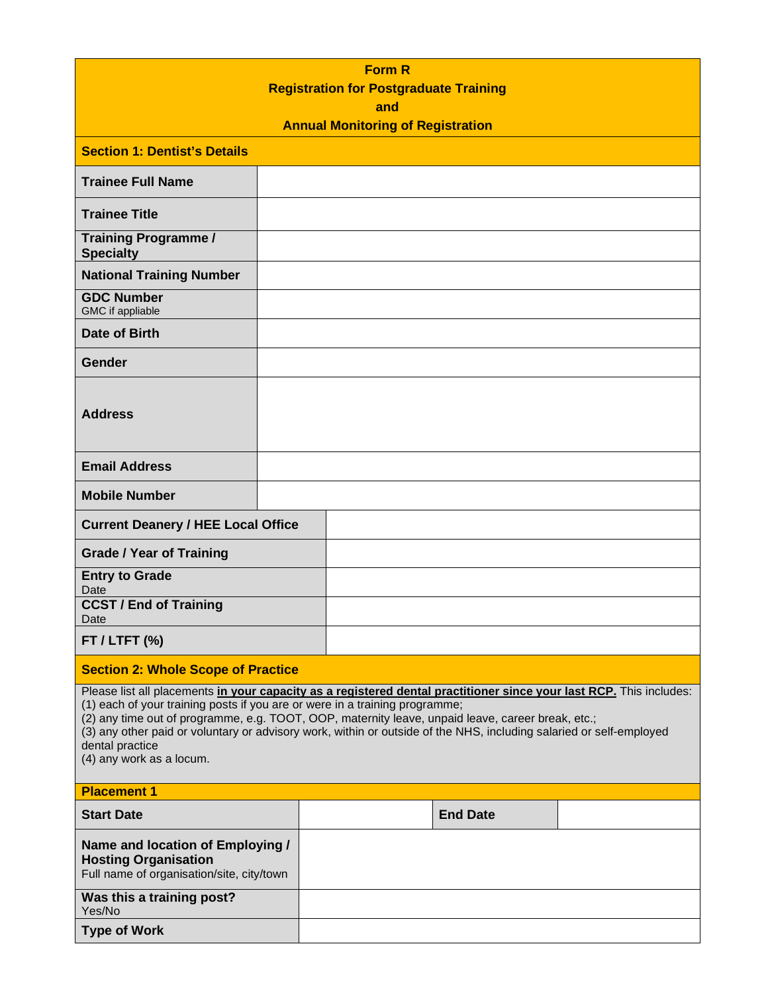|                                                                                                                                                                                                                                                                                                                                                                                                                                                                               |  |  | <b>Form R</b> |                                               |  |
|-------------------------------------------------------------------------------------------------------------------------------------------------------------------------------------------------------------------------------------------------------------------------------------------------------------------------------------------------------------------------------------------------------------------------------------------------------------------------------|--|--|---------------|-----------------------------------------------|--|
|                                                                                                                                                                                                                                                                                                                                                                                                                                                                               |  |  |               | <b>Registration for Postgraduate Training</b> |  |
|                                                                                                                                                                                                                                                                                                                                                                                                                                                                               |  |  | and           | <b>Annual Monitoring of Registration</b>      |  |
|                                                                                                                                                                                                                                                                                                                                                                                                                                                                               |  |  |               |                                               |  |
| <b>Section 1: Dentist's Details</b>                                                                                                                                                                                                                                                                                                                                                                                                                                           |  |  |               |                                               |  |
| <b>Trainee Full Name</b>                                                                                                                                                                                                                                                                                                                                                                                                                                                      |  |  |               |                                               |  |
| <b>Trainee Title</b>                                                                                                                                                                                                                                                                                                                                                                                                                                                          |  |  |               |                                               |  |
| <b>Training Programme /</b><br><b>Specialty</b>                                                                                                                                                                                                                                                                                                                                                                                                                               |  |  |               |                                               |  |
| <b>National Training Number</b>                                                                                                                                                                                                                                                                                                                                                                                                                                               |  |  |               |                                               |  |
| <b>GDC Number</b><br>GMC if appliable                                                                                                                                                                                                                                                                                                                                                                                                                                         |  |  |               |                                               |  |
| Date of Birth                                                                                                                                                                                                                                                                                                                                                                                                                                                                 |  |  |               |                                               |  |
| <b>Gender</b>                                                                                                                                                                                                                                                                                                                                                                                                                                                                 |  |  |               |                                               |  |
| <b>Address</b>                                                                                                                                                                                                                                                                                                                                                                                                                                                                |  |  |               |                                               |  |
| <b>Email Address</b>                                                                                                                                                                                                                                                                                                                                                                                                                                                          |  |  |               |                                               |  |
| <b>Mobile Number</b>                                                                                                                                                                                                                                                                                                                                                                                                                                                          |  |  |               |                                               |  |
| <b>Current Deanery / HEE Local Office</b>                                                                                                                                                                                                                                                                                                                                                                                                                                     |  |  |               |                                               |  |
| <b>Grade / Year of Training</b>                                                                                                                                                                                                                                                                                                                                                                                                                                               |  |  |               |                                               |  |
| <b>Entry to Grade</b><br>Date                                                                                                                                                                                                                                                                                                                                                                                                                                                 |  |  |               |                                               |  |
| <b>CCST / End of Training</b><br>Date                                                                                                                                                                                                                                                                                                                                                                                                                                         |  |  |               |                                               |  |
| $FT / LTFT$ (%)                                                                                                                                                                                                                                                                                                                                                                                                                                                               |  |  |               |                                               |  |
| <b>Section 2: Whole Scope of Practice</b>                                                                                                                                                                                                                                                                                                                                                                                                                                     |  |  |               |                                               |  |
| Please list all placements in your capacity as a registered dental practitioner since your last RCP. This includes:<br>(1) each of your training posts if you are or were in a training programme;<br>(2) any time out of programme, e.g. TOOT, OOP, maternity leave, unpaid leave, career break, etc.;<br>(3) any other paid or voluntary or advisory work, within or outside of the NHS, including salaried or self-employed<br>dental practice<br>(4) any work as a locum. |  |  |               |                                               |  |
| <b>Placement 1</b>                                                                                                                                                                                                                                                                                                                                                                                                                                                            |  |  |               |                                               |  |
| <b>Start Date</b>                                                                                                                                                                                                                                                                                                                                                                                                                                                             |  |  |               | <b>End Date</b>                               |  |
| Name and location of Employing /<br><b>Hosting Organisation</b><br>Full name of organisation/site, city/town                                                                                                                                                                                                                                                                                                                                                                  |  |  |               |                                               |  |
| Was this a training post?<br>Yes/No                                                                                                                                                                                                                                                                                                                                                                                                                                           |  |  |               |                                               |  |
| <b>Type of Work</b>                                                                                                                                                                                                                                                                                                                                                                                                                                                           |  |  |               |                                               |  |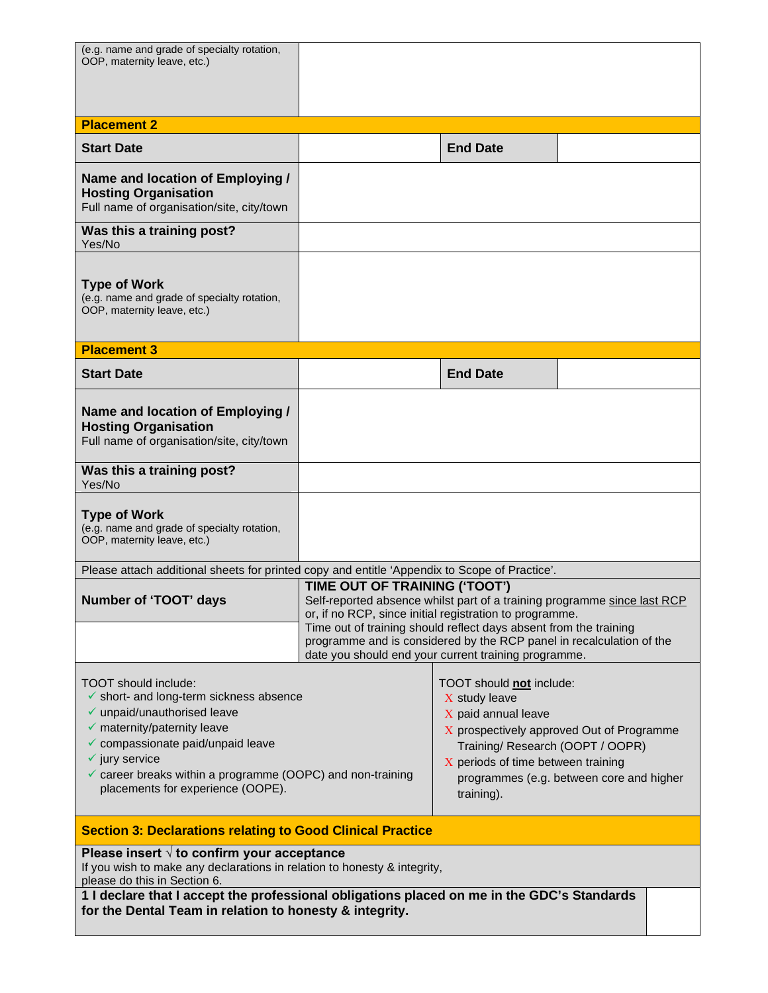| (e.g. name and grade of specialty rotation,<br>OOP, maternity leave, etc.)                                                                                                                                                                                                                                                          |                                                                                                                                                                                                                                                                                                                   |                                                                                                                                                                                                                                                   |  |  |
|-------------------------------------------------------------------------------------------------------------------------------------------------------------------------------------------------------------------------------------------------------------------------------------------------------------------------------------|-------------------------------------------------------------------------------------------------------------------------------------------------------------------------------------------------------------------------------------------------------------------------------------------------------------------|---------------------------------------------------------------------------------------------------------------------------------------------------------------------------------------------------------------------------------------------------|--|--|
|                                                                                                                                                                                                                                                                                                                                     |                                                                                                                                                                                                                                                                                                                   |                                                                                                                                                                                                                                                   |  |  |
| <b>Placement 2</b>                                                                                                                                                                                                                                                                                                                  |                                                                                                                                                                                                                                                                                                                   |                                                                                                                                                                                                                                                   |  |  |
| <b>Start Date</b>                                                                                                                                                                                                                                                                                                                   |                                                                                                                                                                                                                                                                                                                   | <b>End Date</b>                                                                                                                                                                                                                                   |  |  |
| Name and location of Employing /<br><b>Hosting Organisation</b><br>Full name of organisation/site, city/town                                                                                                                                                                                                                        |                                                                                                                                                                                                                                                                                                                   |                                                                                                                                                                                                                                                   |  |  |
| Was this a training post?<br>Yes/No                                                                                                                                                                                                                                                                                                 |                                                                                                                                                                                                                                                                                                                   |                                                                                                                                                                                                                                                   |  |  |
| <b>Type of Work</b><br>(e.g. name and grade of specialty rotation,<br>OOP, maternity leave, etc.)                                                                                                                                                                                                                                   |                                                                                                                                                                                                                                                                                                                   |                                                                                                                                                                                                                                                   |  |  |
| <b>Placement 3</b>                                                                                                                                                                                                                                                                                                                  |                                                                                                                                                                                                                                                                                                                   |                                                                                                                                                                                                                                                   |  |  |
| <b>Start Date</b>                                                                                                                                                                                                                                                                                                                   |                                                                                                                                                                                                                                                                                                                   | <b>End Date</b>                                                                                                                                                                                                                                   |  |  |
| Name and location of Employing /<br><b>Hosting Organisation</b><br>Full name of organisation/site, city/town                                                                                                                                                                                                                        |                                                                                                                                                                                                                                                                                                                   |                                                                                                                                                                                                                                                   |  |  |
| Was this a training post?<br>Yes/No                                                                                                                                                                                                                                                                                                 |                                                                                                                                                                                                                                                                                                                   |                                                                                                                                                                                                                                                   |  |  |
| <b>Type of Work</b><br>(e.g. name and grade of specialty rotation,<br>OOP, maternity leave, etc.)                                                                                                                                                                                                                                   |                                                                                                                                                                                                                                                                                                                   |                                                                                                                                                                                                                                                   |  |  |
| Please attach additional sheets for printed copy and entitle 'Appendix to Scope of Practice'.                                                                                                                                                                                                                                       |                                                                                                                                                                                                                                                                                                                   |                                                                                                                                                                                                                                                   |  |  |
| <b>Number of 'TOOT' days</b>                                                                                                                                                                                                                                                                                                        | TIME OUT OF TRAINING ('TOOT')<br>Self-reported absence whilst part of a training programme since last RCP<br>or, if no RCP, since initial registration to programme.<br>Time out of training should reflect days absent from the training<br>programme and is considered by the RCP panel in recalculation of the |                                                                                                                                                                                                                                                   |  |  |
|                                                                                                                                                                                                                                                                                                                                     | date you should end your current training programme.                                                                                                                                                                                                                                                              |                                                                                                                                                                                                                                                   |  |  |
| TOOT should include:<br>$\checkmark$ short- and long-term sickness absence<br>$\checkmark$ unpaid/unauthorised leave<br>$\checkmark$ maternity/paternity leave<br>✔ compassionate paid/unpaid leave<br>$\checkmark$ jury service<br>✓ career breaks within a programme (OOPC) and non-training<br>placements for experience (OOPE). |                                                                                                                                                                                                                                                                                                                   | TOOT should not include:<br>X study leave<br>X paid annual leave<br>X prospectively approved Out of Programme<br>Training/ Research (OOPT / OOPR)<br>X periods of time between training<br>programmes (e.g. between core and higher<br>training). |  |  |
| <b>Section 3: Declarations relating to Good Clinical Practice</b>                                                                                                                                                                                                                                                                   |                                                                                                                                                                                                                                                                                                                   |                                                                                                                                                                                                                                                   |  |  |
| Please insert $\sqrt{ }$ to confirm your acceptance<br>If you wish to make any declarations in relation to honesty & integrity,<br>please do this in Section 6.                                                                                                                                                                     |                                                                                                                                                                                                                                                                                                                   |                                                                                                                                                                                                                                                   |  |  |
| 1 I declare that I accept the professional obligations placed on me in the GDC's Standards<br>for the Dental Team in relation to honesty & integrity.                                                                                                                                                                               |                                                                                                                                                                                                                                                                                                                   |                                                                                                                                                                                                                                                   |  |  |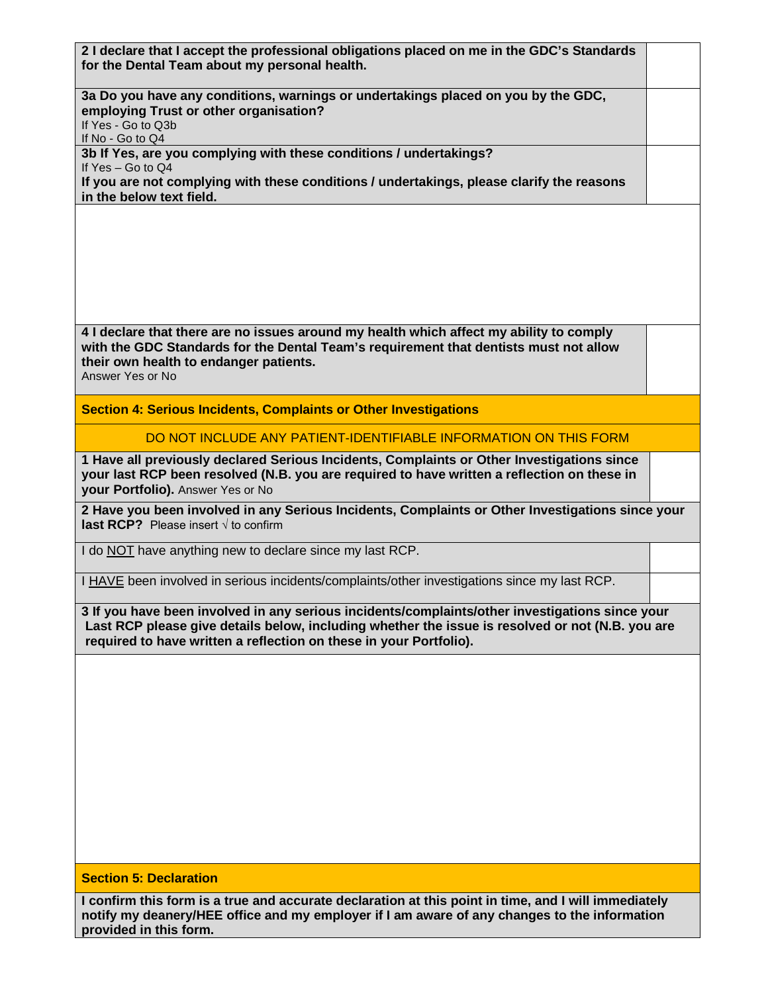| 2 I declare that I accept the professional obligations placed on me in the GDC's Standards |  |
|--------------------------------------------------------------------------------------------|--|
| for the Dental Team about my personal health.                                              |  |

**3a Do you have any conditions, warnings or undertakings placed on you by the GDC, employing Trust or other organisation?** If Yes - Go to Q3b

If No - Go to Q4

**3b If Yes, are you complying with these conditions / undertakings?**

If Yes – Go to Q4

**If you are not complying with these conditions / undertakings, please clarify the reasons in the below text field.**

**4 I declare that there are no issues around my health which affect my ability to comply with the GDC Standards for the Dental Team's requirement that dentists must not allow their own health to endanger patients.**

Answer Yes or No

**Section 4: Serious Incidents, Complaints or Other Investigations**

DO NOT INCLUDE ANY PATIENT-IDENTIFIABLE INFORMATION ON THIS FORM

**1 Have all previously declared Serious Incidents, Complaints or Other Investigations since your last RCP been resolved (N.B. you are required to have written a reflection on these in your Portfolio).** Answer Yes or No

**2 Have you been involved in any Serious Incidents, Complaints or Other Investigations since your last RCP?** Please insert √ to confirm

I do NOT have anything new to declare since my last RCP.

I HAVE been involved in serious incidents/complaints/other investigations since my last RCP.

**3 If you have been involved in any serious incidents/complaints/other investigations since your Last RCP please give details below, including whether the issue is resolved or not (N.B. you are required to have written a reflection on these in your Portfolio).**

**Section 5: Declaration**

**I confirm this form is a true and accurate declaration at this point in time, and I will immediately notify my deanery/HEE office and my employer if I am aware of any changes to the information provided in this form.**